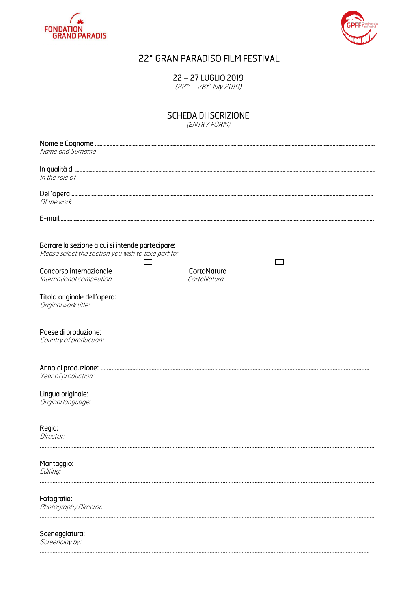



# 22° GRAN PARADISO FILM FESTIVAL

22 – 27 LUGLIO 2019

(22<sup>nd</sup> – 28t<sup>h</sup> July 2019)

## SCHEDA DI ISCRIZIONE

(ENTRY FORM)

| Name and Surname                                                                                        |                            |  |
|---------------------------------------------------------------------------------------------------------|----------------------------|--|
| In the role of                                                                                          |                            |  |
| Of the work                                                                                             |                            |  |
|                                                                                                         |                            |  |
| Barrare la sezione a cui si intende partecipare:<br>Please select the section you wish to take part to: |                            |  |
| Concorso internazionale<br>International competition                                                    | CortoNatura<br>CortoNatura |  |
| Titolo originale dell'opera:<br>Original work title:                                                    |                            |  |
| Paese di produzione:<br>Country of production:                                                          |                            |  |
| Year of production:                                                                                     |                            |  |
| Lingua originale:<br>Original language:                                                                 |                            |  |
| Regia:<br>Director:                                                                                     |                            |  |
| Montaggio:<br>Editing:                                                                                  |                            |  |
| Fotografia:<br>Photography Director:                                                                    |                            |  |
| Sceneggiatura:                                                                                          |                            |  |

…………………………………………………..……….………….………………………………………………………………..……….……………….…………………

Screenplay by: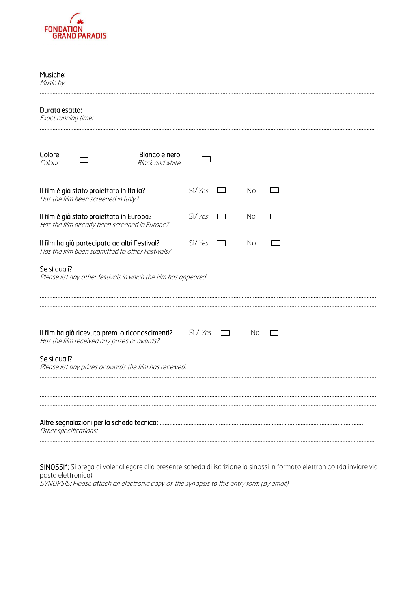

| Sì/Yes                                                          | No |  |
|-----------------------------------------------------------------|----|--|
| Sì/Yes                                                          | No |  |
| Sì/Yes                                                          | No |  |
| Please list any other festivals in which the film has appeared. |    |  |
|                                                                 |    |  |
| Sì / Yes                                                        | No |  |
| Please list any prizes or awards the film has received.         |    |  |
|                                                                 |    |  |
|                                                                 |    |  |
|                                                                 |    |  |

SINOSSI\*: Si prega di voler allegare alla presente scheda di iscrizione la sinossi in formato elettronico (da inviare via posta elettronica) SYNOPSIS: Please attach an electronic copy of the synopsis to this entry form (by email)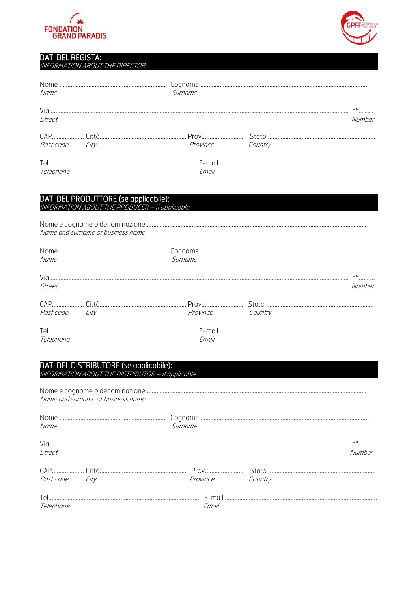



### DATI DEL REGISTA:

INFORMATION ABOUT THE DIRECTOR

| Name           | Surname          |        |
|----------------|------------------|--------|
| Street         |                  | Numher |
|                |                  |        |
| Post code City | Province Country |        |
|                |                  |        |
| Telephone      | Email            |        |

|                                   | DATI DEL PRODUTTORE (se applicabile):<br>INFORMATION ABOUT THE PRODUCER - if applicable |                         |        |
|-----------------------------------|-----------------------------------------------------------------------------------------|-------------------------|--------|
| Name and surname or business name |                                                                                         |                         |        |
| Name                              |                                                                                         | Surname                 |        |
| Street                            |                                                                                         |                         | Numher |
|                                   |                                                                                         |                         |        |
| Post code City                    |                                                                                         | <b>Province</b> Country |        |
| Telephone                         |                                                                                         | Email                   |        |

#### DATI DEL DISTRIBUTORE (se applicabile): INFORMATION ABOUT THE DISTRIBUTOR – if applicable

|                | Name and surname or business name |                  |        |
|----------------|-----------------------------------|------------------|--------|
| Name           |                                   | Surname          |        |
| Street         |                                   |                  | Numher |
| Post code City |                                   | Province Country |        |
| Telephone      |                                   | Fmail            |        |